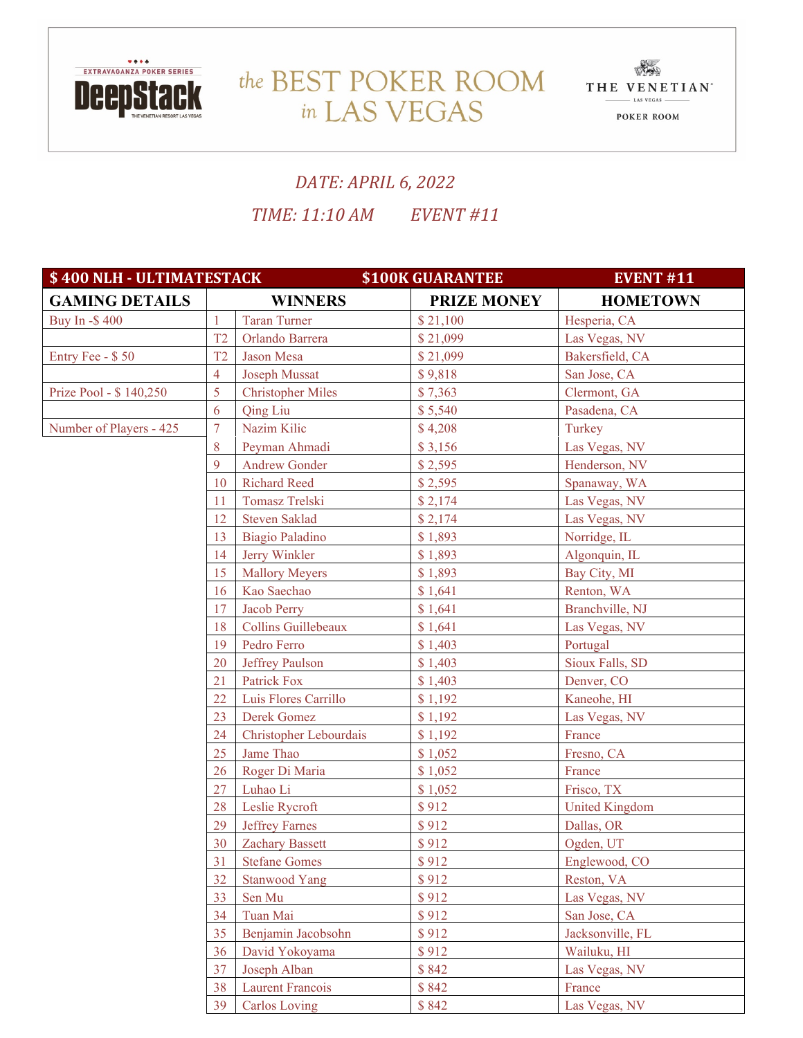

## the BEST POKER ROOM THE VENETIAN in LAS VEGAS



## *DATE: APRIL 6, 2022 TIME: 11:10 AM EVENT #11*

| \$400 NLH - ULTIMATESTACK |                | <b>\$100K GUARANTEE</b>  | <b>EVENT #11</b>   |                       |
|---------------------------|----------------|--------------------------|--------------------|-----------------------|
| <b>GAMING DETAILS</b>     | <b>WINNERS</b> |                          | <b>PRIZE MONEY</b> | <b>HOMETOWN</b>       |
| Buy In -\$400             | 1              | <b>Taran Turner</b>      | \$21,100           | Hesperia, CA          |
|                           | T <sub>2</sub> | Orlando Barrera          | \$21,099           | Las Vegas, NV         |
| Entry Fee - \$50          | T <sub>2</sub> | Jason Mesa               | \$21,099           | Bakersfield, CA       |
|                           | $\overline{4}$ | <b>Joseph Mussat</b>     | \$9,818            | San Jose, CA          |
| Prize Pool - \$140,250    | 5              | <b>Christopher Miles</b> | \$7,363            | Clermont, GA          |
|                           | 6              | Qing Liu                 | \$5,540            | Pasadena, CA          |
| Number of Players - 425   | $\overline{7}$ | Nazim Kilic              | \$4,208            | Turkey                |
|                           | 8              | Peyman Ahmadi            | \$3,156            | Las Vegas, NV         |
|                           | 9              | <b>Andrew Gonder</b>     | \$2,595            | Henderson, NV         |
|                           | 10             | <b>Richard Reed</b>      | \$2,595            | Spanaway, WA          |
|                           | 11             | Tomasz Trelski           | \$2,174            | Las Vegas, NV         |
|                           | 12             | <b>Steven Saklad</b>     | \$2,174            | Las Vegas, NV         |
|                           | 13             | Biagio Paladino          | \$1,893            | Norridge, IL          |
|                           | 14             | Jerry Winkler            | \$1,893            | Algonquin, IL         |
|                           | 15             | <b>Mallory Meyers</b>    | \$1,893            | Bay City, MI          |
|                           | 16             | Kao Saechao              | \$1,641            | Renton, WA            |
|                           | 17             | <b>Jacob Perry</b>       | \$1,641            | Branchville, NJ       |
|                           | 18             | Collins Guillebeaux      | \$1,641            | Las Vegas, NV         |
|                           | 19             | Pedro Ferro              | \$1,403            | Portugal              |
|                           | 20             | Jeffrey Paulson          | \$1,403            | Sioux Falls, SD       |
|                           | 21             | Patrick Fox              | \$1,403            | Denver, CO            |
|                           | 22             | Luis Flores Carrillo     | \$1,192            | Kaneohe, HI           |
|                           | 23             | Derek Gomez              | \$1,192            | Las Vegas, NV         |
|                           | 24             | Christopher Lebourdais   | \$1,192            | France                |
|                           | 25             | Jame Thao                | \$1,052            | Fresno, CA            |
|                           | 26             | Roger Di Maria           | \$1,052            | France                |
|                           | 27             | Luhao Li                 | \$1,052            | Frisco, TX            |
|                           | 28             | Leslie Rycroft           | \$912              | <b>United Kingdom</b> |
|                           | 29             | <b>Jeffrey Farnes</b>    | \$912              | Dallas, OR            |
|                           | 30             | <b>Zachary Bassett</b>   | \$912              | Ogden, UT             |
|                           | 31             | <b>Stefane Gomes</b>     | \$912              | Englewood, CO         |
|                           | 32             | <b>Stanwood Yang</b>     | \$912              | Reston, VA            |
|                           | 33             | Sen Mu                   | \$912              | Las Vegas, NV         |
|                           | 34             | Tuan Mai                 | \$912              | San Jose, CA          |
|                           | 35             | Benjamin Jacobsohn       | \$912              | Jacksonville, FL      |
|                           | 36             | David Yokoyama           | \$912              | Wailuku, HI           |
|                           | 37             | Joseph Alban             | \$842              | Las Vegas, NV         |
|                           | 38             | Laurent Francois         | \$842              | France                |
|                           | 39             | <b>Carlos Loving</b>     | \$842              | Las Vegas, NV         |